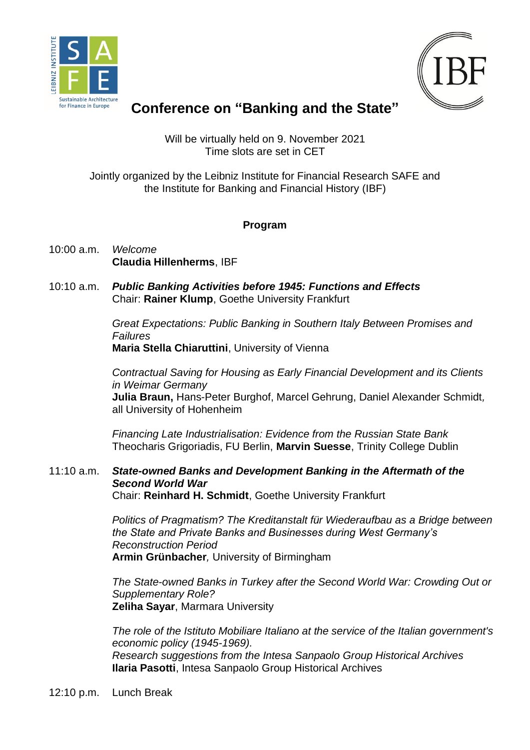



# **Conference on "Banking and the State"**

Will be virtually held on 9. November 2021 Time slots are set in CET

### Jointly organized by the Leibniz Institute for Financial Research SAFE and the Institute for Banking and Financial History (IBF)

## **Program**

- 10:00 a.m. *Welcome* **Claudia Hillenherms**, IBF
- 10:10 a.m. *Public Banking Activities before 1945: Functions and Effects* Chair: **Rainer Klump**, Goethe University Frankfurt

*Great Expectations: Public Banking in Southern Italy Between Promises and Failures* 

**Maria Stella Chiaruttini**, University of Vienna

*Contractual Saving for Housing as Early Financial Development and its Clients in Weimar Germany*  **Julia Braun,** Hans-Peter Burghof, Marcel Gehrung, Daniel Alexander Schmidt*,* all University of Hohenheim

*Financing Late Industrialisation: Evidence from the Russian State Bank* Theocharis Grigoriadis, FU Berlin, **Marvin Suesse**, Trinity College Dublin

#### 11:10 a.m. *State-owned Banks and Development Banking in the Aftermath of the Second World War* Chair: **Reinhard H. Schmidt**, Goethe University Frankfurt

*Politics of Pragmatism? The Kreditanstalt für Wiederaufbau as a Bridge between the State and Private Banks and Businesses during West Germany's Reconstruction Period* **Armin Grünbacher***,* University of Birmingham

*The State-owned Banks in Turkey after the Second World War: Crowding Out or Supplementary Role?* **Zeliha Sayar**, Marmara University

*The role of the Istituto Mobiliare Italiano at the service of the Italian government's economic policy (1945-1969). Research suggestions from the Intesa Sanpaolo Group Historical Archives* **Ilaria Pasotti**, Intesa Sanpaolo Group Historical Archives

12:10 p.m. Lunch Break